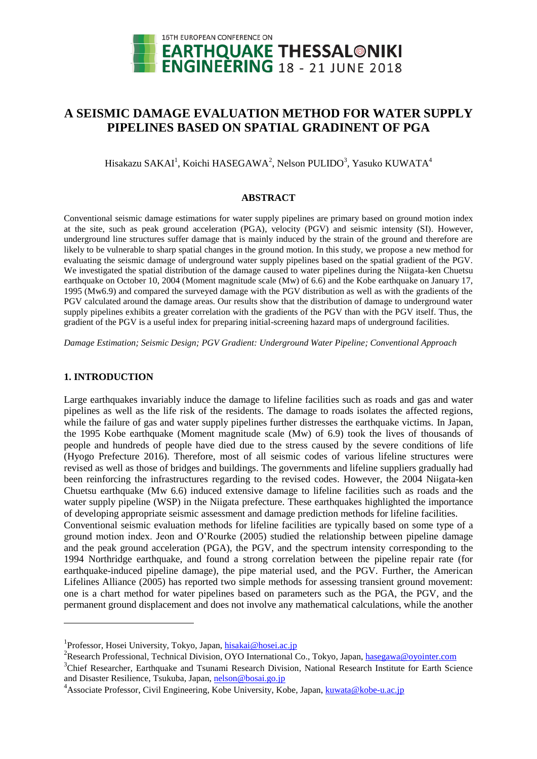

# **A SEISMIC DAMAGE EVALUATION METHOD FOR WATER SUPPLY PIPELINES BASED ON SPATIAL GRADINENT OF PGA**

Hisakazu SAKAI<sup>1</sup>, Koichi HASEGAWA<sup>2</sup>, Nelson PULIDO<sup>3</sup>, Yasuko KUWATA<sup>4</sup>

### **ABSTRACT**

Conventional seismic damage estimations for water supply pipelines are primary based on ground motion index at the site, such as peak ground acceleration (PGA), velocity (PGV) and seismic intensity (SI). However, underground line structures suffer damage that is mainly induced by the strain of the ground and therefore are likely to be vulnerable to sharp spatial changes in the ground motion. In this study, we propose a new method for evaluating the seismic damage of underground water supply pipelines based on the spatial gradient of the PGV. We investigated the spatial distribution of the damage caused to water pipelines during the Niigata-ken Chuetsu earthquake on October 10, 2004 (Moment magnitude scale (Mw) of 6.6) and the Kobe earthquake on January 17, 1995 (Mw6.9) and compared the surveyed damage with the PGV distribution as well as with the gradients of the PGV calculated around the damage areas. Our results show that the distribution of damage to underground water supply pipelines exhibits a greater correlation with the gradients of the PGV than with the PGV itself. Thus, the gradient of the PGV is a useful index for preparing initial-screening hazard maps of underground facilities.

*Damage Estimation; Seismic Design; PGV Gradient: Underground Water Pipeline; Conventional Approach*

# **1. INTRODUCTION**

l

Large earthquakes invariably induce the damage to lifeline facilities such as roads and gas and water pipelines as well as the life risk of the residents. The damage to roads isolates the affected regions, while the failure of gas and water supply pipelines further distresses the earthquake victims. In Japan, the 1995 Kobe earthquake (Moment magnitude scale (Mw) of 6.9) took the lives of thousands of people and hundreds of people have died due to the stress caused by the severe conditions of life (Hyogo Prefecture 2016). Therefore, most of all seismic codes of various lifeline structures were revised as well as those of bridges and buildings. The governments and lifeline suppliers gradually had been reinforcing the infrastructures regarding to the revised codes. However, the 2004 Niigata-ken Chuetsu earthquake (Mw 6.6) induced extensive damage to lifeline facilities such as roads and the water supply pipeline (WSP) in the Niigata prefecture. These earthquakes highlighted the importance of developing appropriate seismic assessment and damage prediction methods for lifeline facilities. Conventional seismic evaluation methods for lifeline facilities are typically based on some type of a ground motion index. Jeon and O'Rourke (2005) studied the relationship between pipeline damage and the peak ground acceleration (PGA), the PGV, and the spectrum intensity corresponding to the 1994 Northridge earthquake, and found a strong correlation between the pipeline repair rate (for earthquake-induced pipeline damage), the pipe material used, and the PGV. Further, the American Lifelines Alliance (2005) has reported two simple methods for assessing transient ground movement: one is a chart method for water pipelines based on parameters such as the PGA, the PGV, and the permanent ground displacement and does not involve any mathematical calculations, while the another

<sup>&</sup>lt;sup>1</sup> Professor, Hosei University, Tokyo, Japan, [hisakai@hosei.ac.jp](mailto:hisakai@hosei.ac.jp)

<sup>&</sup>lt;sup>2</sup> Research Professional, Technical Division, OYO International Co., Tokyo, Japan, [hasegawa@oyoi](mailto:emailaddress@canterbury.ac.nz)nter.com

<sup>&</sup>lt;sup>3</sup>Chief Researcher, Earthquake and Tsunami Research Division, National Research Institute for Earth Science and Disaster Resilience, Tsukuba, Japan, nelson@bosai.go.jp

<sup>4</sup>Associate Professor, Civil Engineering, Kobe University, Kobe, Japan, kuwata@kobe-u.ac.jp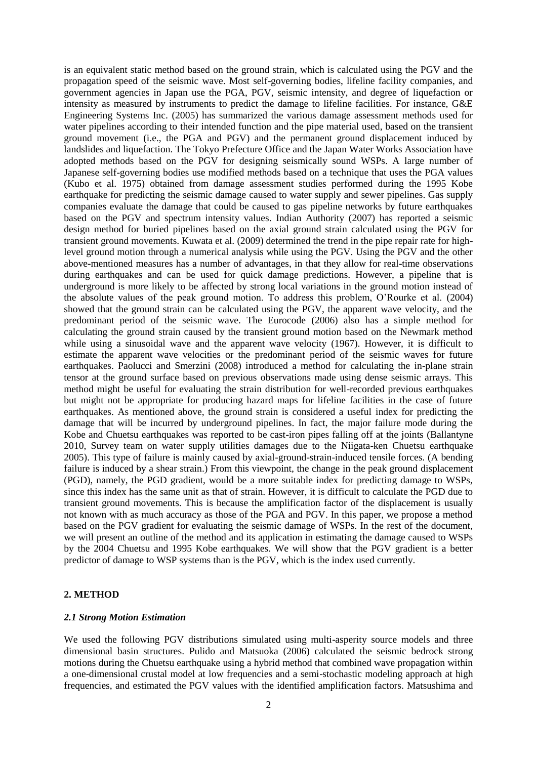is an equivalent static method based on the ground strain, which is calculated using the PGV and the propagation speed of the seismic wave. Most self-governing bodies, lifeline facility companies, and government agencies in Japan use the PGA, PGV, seismic intensity, and degree of liquefaction or intensity as measured by instruments to predict the damage to lifeline facilities. For instance, G&E Engineering Systems Inc. (2005) has summarized the various damage assessment methods used for water pipelines according to their intended function and the pipe material used, based on the transient ground movement (i.e., the PGA and PGV) and the permanent ground displacement induced by landslides and liquefaction. The Tokyo Prefecture Office and the Japan Water Works Association have adopted methods based on the PGV for designing seismically sound WSPs. A large number of Japanese self-governing bodies use modified methods based on a technique that uses the PGA values (Kubo et al. 1975) obtained from damage assessment studies performed during the 1995 Kobe earthquake for predicting the seismic damage caused to water supply and sewer pipelines. Gas supply companies evaluate the damage that could be caused to gas pipeline networks by future earthquakes based on the PGV and spectrum intensity values. Indian Authority (2007) has reported a seismic design method for buried pipelines based on the axial ground strain calculated using the PGV for transient ground movements. Kuwata et al. (2009) determined the trend in the pipe repair rate for highlevel ground motion through a numerical analysis while using the PGV. Using the PGV and the other above-mentioned measures has a number of advantages, in that they allow for real-time observations during earthquakes and can be used for quick damage predictions. However, a pipeline that is underground is more likely to be affected by strong local variations in the ground motion instead of the absolute values of the peak ground motion. To address this problem, O'Rourke et al. (2004) showed that the ground strain can be calculated using the PGV, the apparent wave velocity, and the predominant period of the seismic wave. The Eurocode (2006) also has a simple method for calculating the ground strain caused by the transient ground motion based on the Newmark method while using a sinusoidal wave and the apparent wave velocity (1967). However, it is difficult to estimate the apparent wave velocities or the predominant period of the seismic waves for future earthquakes. Paolucci and Smerzini (2008) introduced a method for calculating the in-plane strain tensor at the ground surface based on previous observations made using dense seismic arrays. This method might be useful for evaluating the strain distribution for well-recorded previous earthquakes but might not be appropriate for producing hazard maps for lifeline facilities in the case of future earthquakes. As mentioned above, the ground strain is considered a useful index for predicting the damage that will be incurred by underground pipelines. In fact, the major failure mode during the Kobe and Chuetsu earthquakes was reported to be cast-iron pipes falling off at the joints (Ballantyne 2010, Survey team on water supply utilities damages due to the Niigata-ken Chuetsu earthquake 2005). This type of failure is mainly caused by axial-ground-strain-induced tensile forces. (A bending failure is induced by a shear strain.) From this viewpoint, the change in the peak ground displacement (PGD), namely, the PGD gradient, would be a more suitable index for predicting damage to WSPs, since this index has the same unit as that of strain. However, it is difficult to calculate the PGD due to transient ground movements. This is because the amplification factor of the displacement is usually not known with as much accuracy as those of the PGA and PGV. In this paper, we propose a method based on the PGV gradient for evaluating the seismic damage of WSPs. In the rest of the document, we will present an outline of the method and its application in estimating the damage caused to WSPs by the 2004 Chuetsu and 1995 Kobe earthquakes. We will show that the PGV gradient is a better predictor of damage to WSP systems than is the PGV, which is the index used currently.

# **2. METHOD**

# *2.1 Strong Motion Estimation*

We used the following PGV distributions simulated using multi-asperity source models and three dimensional basin structures. Pulido and Matsuoka (2006) calculated the seismic bedrock strong motions during the Chuetsu earthquake using a hybrid method that combined wave propagation within a one-dimensional crustal model at low frequencies and a semi-stochastic modeling approach at high frequencies, and estimated the PGV values with the identified amplification factors. Matsushima and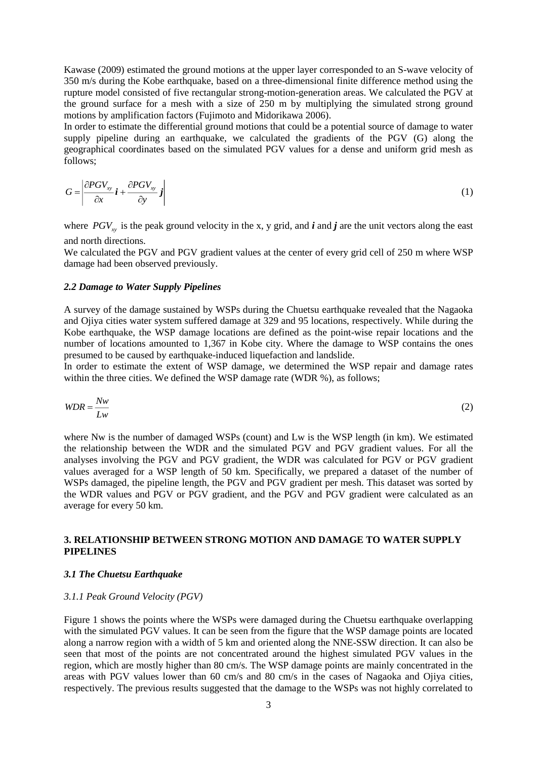Kawase (2009) estimated the ground motions at the upper layer corresponded to an S-wave velocity of 350 m/s during the Kobe earthquake, based on a three-dimensional finite difference method using the rupture model consisted of five rectangular strong-motion-generation areas. We calculated the PGV at the ground surface for a mesh with a size of 250 m by multiplying the simulated strong ground motions by amplification factors (Fujimoto and Midorikawa 2006).

In order to estimate the differential ground motions that could be a potential source of damage to water supply pipeline during an earthquake, we calculated the gradients of the PGV (G) along the geographical coordinates based on the simulated PGV values for a dense and uniform grid mesh as follows;

$$
G = \left| \frac{\partial PGV_{xy}}{\partial x} \mathbf{i} + \frac{\partial PGV_{xy}}{\partial y} \mathbf{j} \right| \tag{1}
$$

where  $PGV_{xy}$  is the peak ground velocity in the x, y grid, and *i* and *j* are the unit vectors along the east and north directions.

We calculated the PGV and PGV gradient values at the center of every grid cell of 250 m where WSP damage had been observed previously.

# *2.2 Damage to Water Supply Pipelines*

A survey of the damage sustained by WSPs during the Chuetsu earthquake revealed that the Nagaoka and Ojiya cities water system suffered damage at 329 and 95 locations, respectively. While during the Kobe earthquake, the WSP damage locations are defined as the point-wise repair locations and the number of locations amounted to 1,367 in Kobe city. Where the damage to WSP contains the ones presumed to be caused by earthquake-induced liquefaction and landslide.

In order to estimate the extent of WSP damage, we determined the WSP repair and damage rates within the three cities. We defined the WSP damage rate (WDR %), as follows;

$$
WDR = \frac{Nw}{Lw} \tag{2}
$$

where Nw is the number of damaged WSPs (count) and Lw is the WSP length (in km). We estimated the relationship between the WDR and the simulated PGV and PGV gradient values. For all the analyses involving the PGV and PGV gradient, the WDR was calculated for PGV or PGV gradient values averaged for a WSP length of 50 km. Specifically, we prepared a dataset of the number of WSPs damaged, the pipeline length, the PGV and PGV gradient per mesh. This dataset was sorted by the WDR values and PGV or PGV gradient, and the PGV and PGV gradient were calculated as an average for every 50 km.

# **3. RELATIONSHIP BETWEEN STRONG MOTION AND DAMAGE TO WATER SUPPLY PIPELINES**

## *3.1 The Chuetsu Earthquake*

#### *3.1.1 Peak Ground Velocity (PGV)*

Figure 1 shows the points where the WSPs were damaged during the Chuetsu earthquake overlapping with the simulated PGV values. It can be seen from the figure that the WSP damage points are located along a narrow region with a width of 5 km and oriented along the NNE-SSW direction. It can also be seen that most of the points are not concentrated around the highest simulated PGV values in the region, which are mostly higher than 80 cm/s. The WSP damage points are mainly concentrated in the areas with PGV values lower than 60 cm/s and 80 cm/s in the cases of Nagaoka and Ojiya cities, respectively. The previous results suggested that the damage to the WSPs was not highly correlated to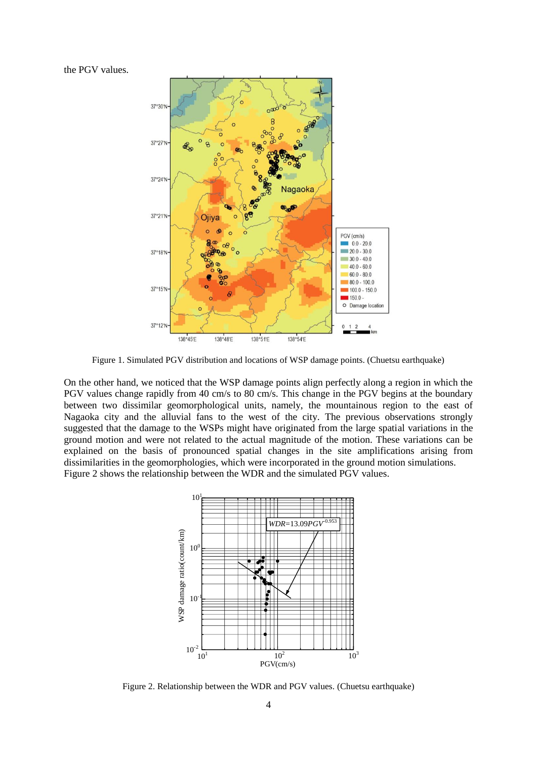the PGV values.



Figure 1. Simulated PGV distribution and locations of WSP damage points. (Chuetsu earthquake)

On the other hand, we noticed that the WSP damage points align perfectly along a region in which the PGV values change rapidly from 40 cm/s to 80 cm/s. This change in the PGV begins at the boundary between two dissimilar geomorphological units, namely, the mountainous region to the east of Nagaoka city and the alluvial fans to the west of the city. The previous observations strongly suggested that the damage to the WSPs might have originated from the large spatial variations in the ground motion and were not related to the actual magnitude of the motion. These variations can be explained on the basis of pronounced spatial changes in the site amplifications arising from dissimilarities in the geomorphologies, which were incorporated in the ground motion simulations. Figure 2 shows the relationship between the WDR and the simulated PGV values.



Figure 2. Relationship between the WDR and PGV values. (Chuetsu earthquake)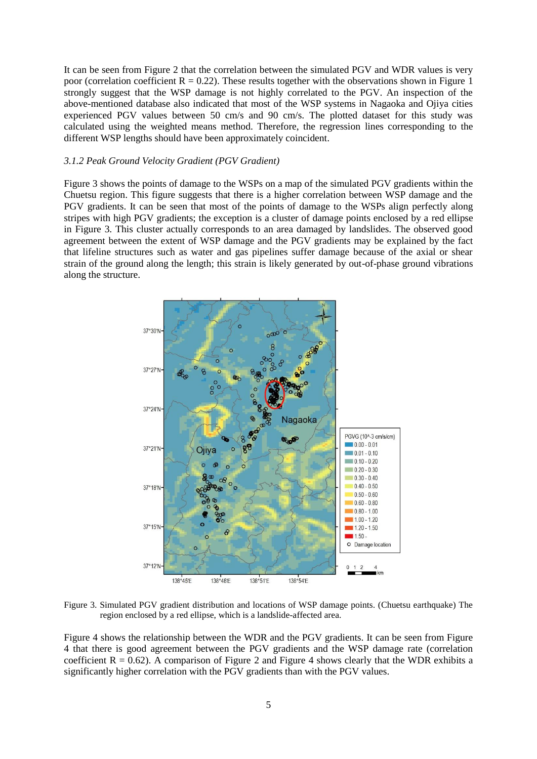It can be seen from Figure 2 that the correlation between the simulated PGV and WDR values is very poor (correlation coefficient  $R = 0.22$ ). These results together with the observations shown in Figure 1 strongly suggest that the WSP damage is not highly correlated to the PGV. An inspection of the above-mentioned database also indicated that most of the WSP systems in Nagaoka and Ojiya cities experienced PGV values between 50 cm/s and 90 cm/s. The plotted dataset for this study was calculated using the weighted means method. Therefore, the regression lines corresponding to the different WSP lengths should have been approximately coincident.

### *3.1.2 Peak Ground Velocity Gradient (PGV Gradient)*

Figure 3 shows the points of damage to the WSPs on a map of the simulated PGV gradients within the Chuetsu region. This figure suggests that there is a higher correlation between WSP damage and the PGV gradients. It can be seen that most of the points of damage to the WSPs align perfectly along stripes with high PGV gradients; the exception is a cluster of damage points enclosed by a red ellipse in Figure 3. This cluster actually corresponds to an area damaged by landslides. The observed good agreement between the extent of WSP damage and the PGV gradients may be explained by the fact that lifeline structures such as water and gas pipelines suffer damage because of the axial or shear strain of the ground along the length; this strain is likely generated by out-of-phase ground vibrations along the structure.



Figure 3. Simulated PGV gradient distribution and locations of WSP damage points. (Chuetsu earthquake) The region enclosed by a red ellipse, which is a landslide-affected area.

Figure 4 shows the relationship between the WDR and the PGV gradients. It can be seen from Figure 4 that there is good agreement between the PGV gradients and the WSP damage rate (correlation coefficient  $R = 0.62$ ). A comparison of Figure 2 and Figure 4 shows clearly that the WDR exhibits a significantly higher correlation with the PGV gradients than with the PGV values.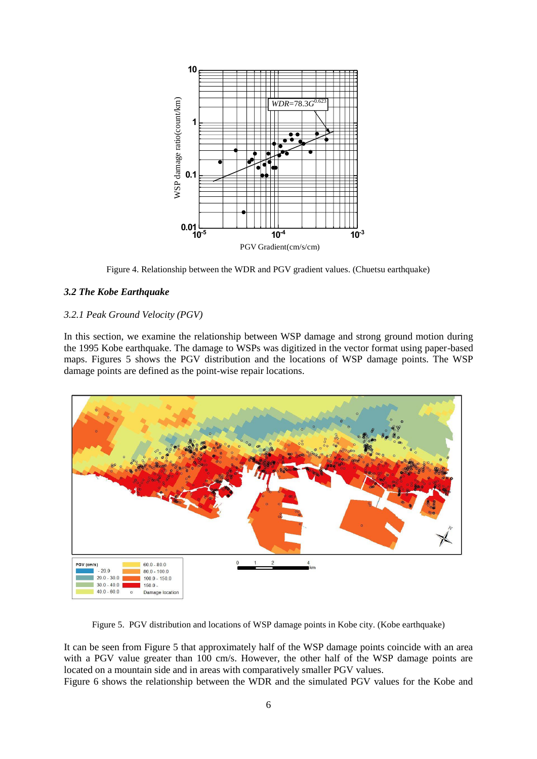

Figure 4. Relationship between the WDR and PGV gradient values. (Chuetsu earthquake)

# *3.2 The Kobe Earthquake*

# *3.2.1 Peak Ground Velocity (PGV)*

In this section, we examine the relationship between WSP damage and strong ground motion during the 1995 Kobe earthquake. The damage to WSPs was digitized in the vector format using paper-based maps. Figures 5 shows the PGV distribution and the locations of WSP damage points. The WSP damage points are defined as the point-wise repair locations.



Figure 5. PGV distribution and locations of WSP damage points in Kobe city. (Kobe earthquake)

It can be seen from Figure 5 that approximately half of the WSP damage points coincide with an area with a PGV value greater than 100 cm/s. However, the other half of the WSP damage points are located on a mountain side and in areas with comparatively smaller PGV values.

Figure 6 shows the relationship between the WDR and the simulated PGV values for the Kobe and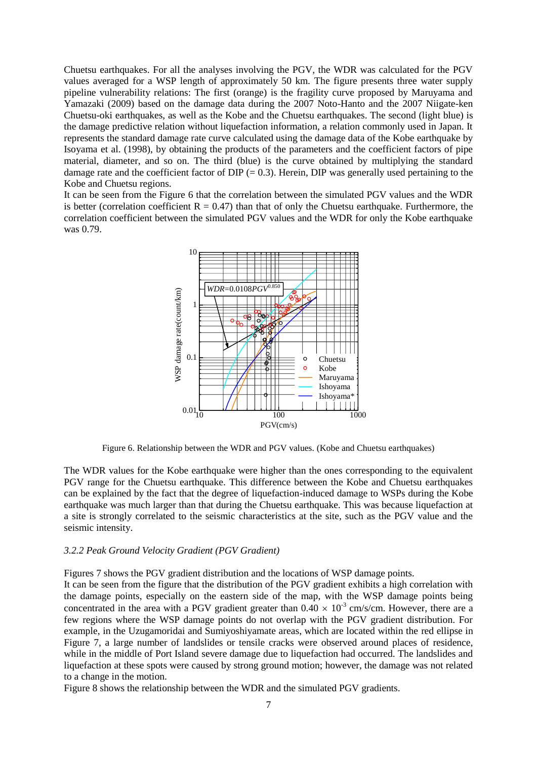Chuetsu earthquakes. For all the analyses involving the PGV, the WDR was calculated for the PGV values averaged for a WSP length of approximately 50 km. The figure presents three water supply pipeline vulnerability relations: The first (orange) is the fragility curve proposed by Maruyama and Yamazaki (2009) based on the damage data during the 2007 Noto-Hanto and the 2007 Niigate-ken Chuetsu-oki earthquakes, as well as the Kobe and the Chuetsu earthquakes. The second (light blue) is the damage predictive relation without liquefaction information, a relation commonly used in Japan. It represents the standard damage rate curve calculated using the damage data of the Kobe earthquake by Isoyama et al. (1998), by obtaining the products of the parameters and the coefficient factors of pipe material, diameter, and so on. The third (blue) is the curve obtained by multiplying the standard damage rate and the coefficient factor of DIP  $(= 0.3)$ . Herein, DIP was generally used pertaining to the Kobe and Chuetsu regions.

It can be seen from the Figure 6 that the correlation between the simulated PGV values and the WDR is better (correlation coefficient  $R = 0.47$ ) than that of only the Chuetsu earthquake. Furthermore, the correlation coefficient between the simulated PGV values and the WDR for only the Kobe earthquake was 0.79.



Figure 6. Relationship between the WDR and PGV values. (Kobe and Chuetsu earthquakes)

The WDR values for the Kobe earthquake were higher than the ones corresponding to the equivalent PGV range for the Chuetsu earthquake. This difference between the Kobe and Chuetsu earthquakes can be explained by the fact that the degree of liquefaction-induced damage to WSPs during the Kobe earthquake was much larger than that during the Chuetsu earthquake. This was because liquefaction at a site is strongly correlated to the seismic characteristics at the site, such as the PGV value and the seismic intensity.

### *3.2.2 Peak Ground Velocity Gradient (PGV Gradient)*

Figures 7 shows the PGV gradient distribution and the locations of WSP damage points.

It can be seen from the figure that the distribution of the PGV gradient exhibits a high correlation with the damage points, especially on the eastern side of the map, with the WSP damage points being concentrated in the area with a PGV gradient greater than  $0.40 \times 10^{-3}$  cm/s/cm. However, there are a few regions where the WSP damage points do not overlap with the PGV gradient distribution. For example, in the Uzugamoridai and Sumiyoshiyamate areas, which are located within the red ellipse in Figure 7, a large number of landslides or tensile cracks were observed around places of residence, while in the middle of Port Island severe damage due to liquefaction had occurred. The landslides and liquefaction at these spots were caused by strong ground motion; however, the damage was not related to a change in the motion.

Figure 8 shows the relationship between the WDR and the simulated PGV gradients.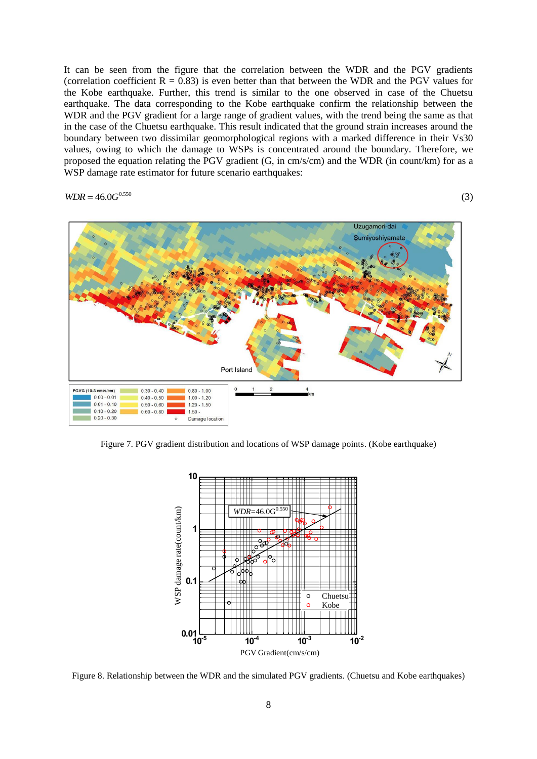It can be seen from the figure that the correlation between the WDR and the PGV gradients (correlation coefficient  $R = 0.83$ ) is even better than that between the WDR and the PGV values for the Kobe earthquake. Further, this trend is similar to the one observed in case of the Chuetsu earthquake. The data corresponding to the Kobe earthquake confirm the relationship between the WDR and the PGV gradient for a large range of gradient values, with the trend being the same as that in the case of the Chuetsu earthquake. This result indicated that the ground strain increases around the boundary between two dissimilar geomorphological regions with a marked difference in their Vs30 values, owing to which the damage to WSPs is concentrated around the boundary. Therefore, we proposed the equation relating the PGV gradient (G, in cm/s/cm) and the WDR (in count/km) for as a WSP damage rate estimator for future scenario earthquakes:

 $WDR = 46.0 G^{0.550}$ 





Figure 7. PGV gradient distribution and locations of WSP damage points. (Kobe earthquake)



Figure 8. Relationship between the WDR and the simulated PGV gradients. (Chuetsu and Kobe earthquakes)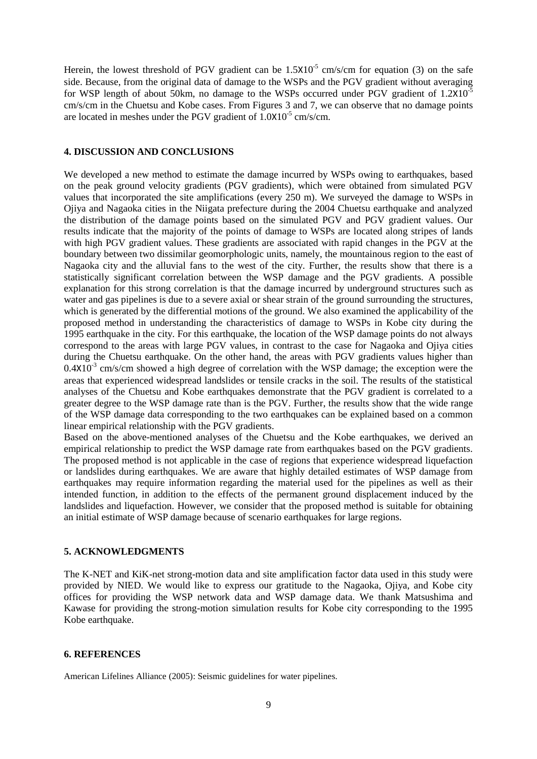Herein, the lowest threshold of PGV gradient can be  $1.5 \times 10^{-5}$  cm/s/cm for equation (3) on the safe side. Because, from the original data of damage to the WSPs and the PGV gradient without averaging for WSP length of about 50km, no damage to the WSPs occurred under PGV gradient of 1.2X10<sup>-5</sup> cm/s/cm in the Chuetsu and Kobe cases. From Figures 3 and 7, we can observe that no damage points are located in meshes under the PGV gradient of  $1.0 \times 10^{-5}$  cm/s/cm.

# **4. DISCUSSION AND CONCLUSIONS**

We developed a new method to estimate the damage incurred by WSPs owing to earthquakes, based on the peak ground velocity gradients (PGV gradients), which were obtained from simulated PGV values that incorporated the site amplifications (every 250 m). We surveyed the damage to WSPs in Ojiya and Nagaoka cities in the Niigata prefecture during the 2004 Chuetsu earthquake and analyzed the distribution of the damage points based on the simulated PGV and PGV gradient values. Our results indicate that the majority of the points of damage to WSPs are located along stripes of lands with high PGV gradient values. These gradients are associated with rapid changes in the PGV at the boundary between two dissimilar geomorphologic units, namely, the mountainous region to the east of Nagaoka city and the alluvial fans to the west of the city. Further, the results show that there is a statistically significant correlation between the WSP damage and the PGV gradients. A possible explanation for this strong correlation is that the damage incurred by underground structures such as water and gas pipelines is due to a severe axial or shear strain of the ground surrounding the structures, which is generated by the differential motions of the ground. We also examined the applicability of the proposed method in understanding the characteristics of damage to WSPs in Kobe city during the 1995 earthquake in the city. For this earthquake, the location of the WSP damage points do not always correspond to the areas with large PGV values, in contrast to the case for Nagaoka and Ojiya cities during the Chuetsu earthquake. On the other hand, the areas with PGV gradients values higher than  $0.4 \times 10^{-3}$  cm/s/cm showed a high degree of correlation with the WSP damage; the exception were the areas that experienced widespread landslides or tensile cracks in the soil. The results of the statistical analyses of the Chuetsu and Kobe earthquakes demonstrate that the PGV gradient is correlated to a greater degree to the WSP damage rate than is the PGV. Further, the results show that the wide range of the WSP damage data corresponding to the two earthquakes can be explained based on a common linear empirical relationship with the PGV gradients.

Based on the above-mentioned analyses of the Chuetsu and the Kobe earthquakes, we derived an empirical relationship to predict the WSP damage rate from earthquakes based on the PGV gradients. The proposed method is not applicable in the case of regions that experience widespread liquefaction or landslides during earthquakes. We are aware that highly detailed estimates of WSP damage from earthquakes may require information regarding the material used for the pipelines as well as their intended function, in addition to the effects of the permanent ground displacement induced by the landslides and liquefaction. However, we consider that the proposed method is suitable for obtaining an initial estimate of WSP damage because of scenario earthquakes for large regions.

## **5. ACKNOWLEDGMENTS**

The K-NET and KiK-net strong-motion data and site amplification factor data used in this study were provided by NIED. We would like to express our gratitude to the Nagaoka, Ojiya, and Kobe city offices for providing the WSP network data and WSP damage data. We thank Matsushima and Kawase for providing the strong-motion simulation results for Kobe city corresponding to the 1995 Kobe earthquake.

### **6. REFERENCES**

American Lifelines Alliance (2005): Seismic guidelines for water pipelines.